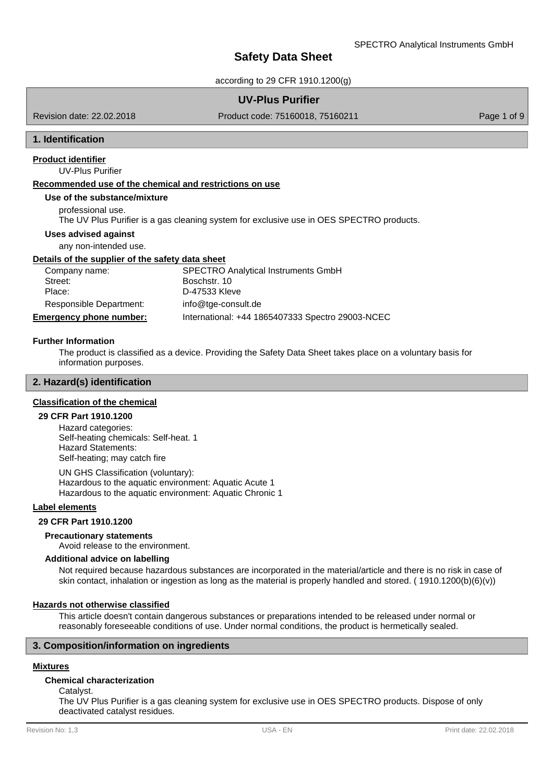according to 29 CFR 1910.1200(g)

## **UV-Plus Purifier**

Revision date: 22.02.2018

Product code: 75160018, 75160211 Product code: 75160018, 75160211

## **1. Identification**

UV-Plus Purifier **Product identifier**

## **Recommended use of the chemical and restrictions on use**

#### **Use of the substance/mixture**

professional use.

The UV Plus Purifier is a gas cleaning system for exclusive use in OES SPECTRO products.

#### **Uses advised against**

any non-intended use.

## **Details of the supplier of the safety data sheet**

| Company name:                  | <b>SPECTRO Analytical Instruments GmbH</b>       |
|--------------------------------|--------------------------------------------------|
| Street:                        | Boschstr, 10                                     |
| Place:                         | D-47533 Kleve                                    |
| Responsible Department:        | info@tge-consult.de                              |
| <b>Emergency phone number:</b> | International: +44 1865407333 Spectro 29003-NCEC |

#### **Further Information**

The product is classified as a device. Providing the Safety Data Sheet takes place on a voluntary basis for information purposes.

## **2. Hazard(s) identification**

#### **Classification of the chemical**

#### **29 CFR Part 1910.1200**

Hazard categories: Self-heating chemicals: Self-heat. 1 Hazard Statements: Self-heating; may catch fire

UN GHS Classification (voluntary): Hazardous to the aquatic environment: Aquatic Acute 1 Hazardous to the aquatic environment: Aquatic Chronic 1

## **Label elements**

**29 CFR Part 1910.1200**

Avoid release to the environment. **Precautionary statements**

## **Additional advice on labelling**

Not required because hazardous substances are incorporated in the material/article and there is no risk in case of skin contact, inhalation or ingestion as long as the material is properly handled and stored. ( 1910.1200(b)(6)(v))

#### **Hazards not otherwise classified**

This article doesn't contain dangerous substances or preparations intended to be released under normal or reasonably foreseeable conditions of use. Under normal conditions, the product is hermetically sealed.

## **3. Composition/information on ingredients**

## **Mixtures**

#### **Chemical characterization**

Catalyst.

The UV Plus Purifier is a gas cleaning system for exclusive use in OES SPECTRO products. Dispose of only deactivated catalyst residues.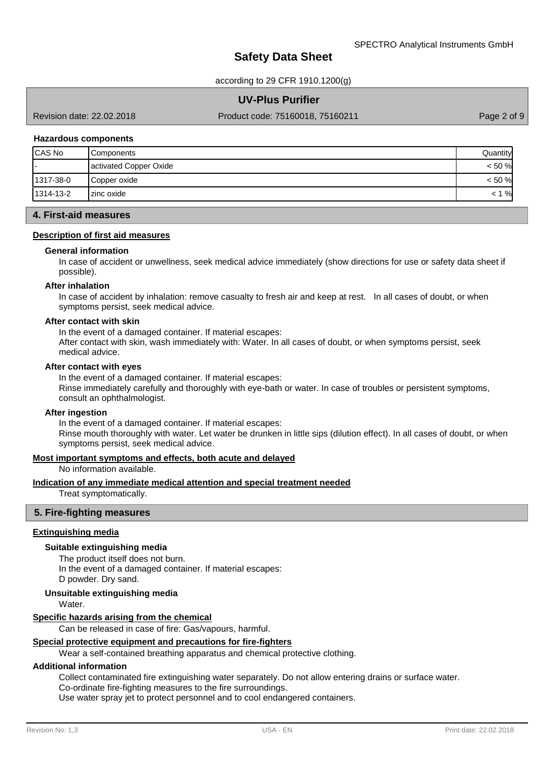according to 29 CFR 1910.1200(g)

## **UV-Plus Purifier**

Revision date: 22.02.2018

Product code: 75160018, 75160211 Product 2 of 9

## **Hazardous components**

| CAS No    | Components             | Quantityl |
|-----------|------------------------|-----------|
|           | activated Copper Oxide | $< 50 \%$ |
| 1317-38-0 | Copper oxide           | $< 50 \%$ |
| 1314-13-2 | Izinc oxide            | $\%$      |

## **4. First-aid measures**

## **Description of first aid measures**

#### **General information**

In case of accident or unwellness, seek medical advice immediately (show directions for use or safety data sheet if possible).

#### **After inhalation**

In case of accident by inhalation: remove casualty to fresh air and keep at rest. In all cases of doubt, or when symptoms persist, seek medical advice.

## **After contact with skin**

In the event of a damaged container. If material escapes: After contact with skin, wash immediately with: Water. In all cases of doubt, or when symptoms persist, seek medical advice.

#### **After contact with eyes**

In the event of a damaged container. If material escapes: Rinse immediately carefully and thoroughly with eye-bath or water. In case of troubles or persistent symptoms, consult an ophthalmologist.

#### **After ingestion**

In the event of a damaged container. If material escapes: Rinse mouth thoroughly with water. Let water be drunken in little sips (dilution effect). In all cases of doubt, or when symptoms persist, seek medical advice.

## **Most important symptoms and effects, both acute and delayed**

No information available.

#### **Indication of any immediate medical attention and special treatment needed**

Treat symptomatically.

## **5. Fire-fighting measures**

#### **Extinguishing media**

#### **Suitable extinguishing media**

The product itself does not burn. In the event of a damaged container. If material escapes: D powder. Dry sand.

#### **Unsuitable extinguishing media**

**Water** 

#### **Specific hazards arising from the chemical**

Can be released in case of fire: Gas/vapours, harmful.

#### **Special protective equipment and precautions for fire-fighters**

Wear a self-contained breathing apparatus and chemical protective clothing.

#### **Additional information**

Collect contaminated fire extinguishing water separately. Do not allow entering drains or surface water. Co-ordinate fire-fighting measures to the fire surroundings.

Use water spray jet to protect personnel and to cool endangered containers.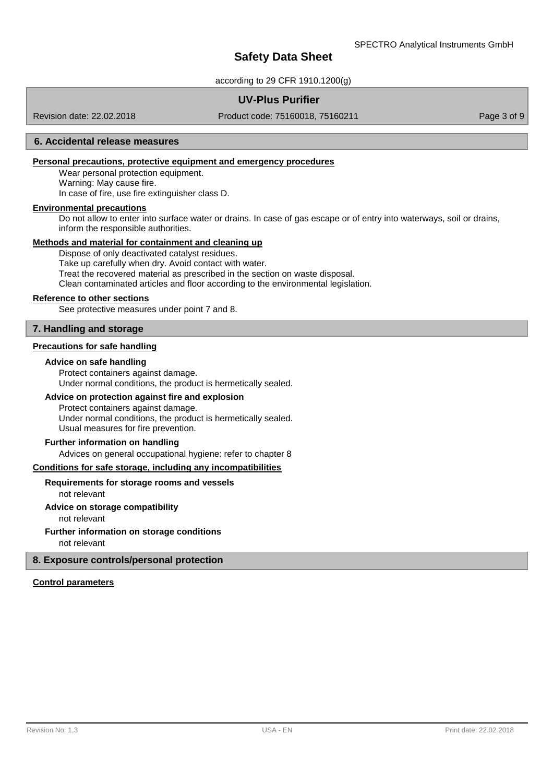according to 29 CFR 1910.1200(g)

## **UV-Plus Purifier**

Revision date: 22.02.2018

Product code: 75160018, 75160211 Product 2 Page 3 of 9

## **6. Accidental release measures**

## **Personal precautions, protective equipment and emergency procedures**

Wear personal protection equipment. Warning: May cause fire. In case of fire, use fire extinguisher class D.

#### **Environmental precautions**

Do not allow to enter into surface water or drains. In case of gas escape or of entry into waterways, soil or drains, inform the responsible authorities.

## **Methods and material for containment and cleaning up**

Dispose of only deactivated catalyst residues. Take up carefully when dry. Avoid contact with water. Treat the recovered material as prescribed in the section on waste disposal. Clean contaminated articles and floor according to the environmental legislation.

#### **Reference to other sections**

See protective measures under point 7 and 8.

## **7. Handling and storage**

#### **Precautions for safe handling**

#### **Advice on safe handling**

Protect containers against damage. Under normal conditions, the product is hermetically sealed.

## **Advice on protection against fire and explosion**

Protect containers against damage. Under normal conditions, the product is hermetically sealed. Usual measures for fire prevention.

#### **Further information on handling**

Advices on general occupational hygiene: refer to chapter 8

#### **Conditions for safe storage, including any incompatibilities**

#### **Requirements for storage rooms and vessels**

not relevant

## **Advice on storage compatibility**

not relevant

## **Further information on storage conditions**

not relevant

## **8. Exposure controls/personal protection**

## **Control parameters**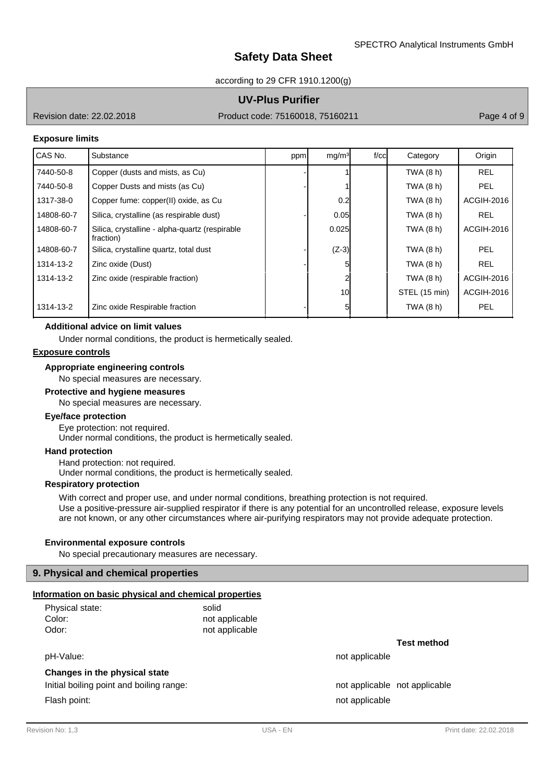according to 29 CFR 1910.1200(g)

## **UV-Plus Purifier**

Revision date: 22.02.2018

Product code: 75160018, 75160211 Page 4 of 9

#### **Exposure limits**

| CAS No.    | Substance                                                   | ppm | mg/m <sup>3</sup> | $f$ / $c$ c $\vert$ | Category      | Origin     |
|------------|-------------------------------------------------------------|-----|-------------------|---------------------|---------------|------------|
| 7440-50-8  | Copper (dusts and mists, as Cu)                             |     |                   |                     | TWA (8 h)     | <b>REL</b> |
| 7440-50-8  | Copper Dusts and mists (as Cu)                              |     |                   |                     | TWA (8 h)     | PEL        |
| 1317-38-0  | Copper fume: copper(II) oxide, as Cu                        |     | 0.2               |                     | TWA (8 h)     | ACGIH-2016 |
| 14808-60-7 | Silica, crystalline (as respirable dust)                    |     | 0.05              |                     | TWA (8 h)     | <b>REL</b> |
| 14808-60-7 | Silica, crystalline - alpha-quartz (respirable<br>fraction) |     | 0.025             |                     | TWA (8 h)     | ACGIH-2016 |
| 14808-60-7 | Silica, crystalline quartz, total dust                      |     | $(Z-3)$           |                     | TWA (8 h)     | PEL        |
| 1314-13-2  | Zinc oxide (Dust)                                           |     | 51                |                     | TWA (8 h)     | <b>REL</b> |
| 1314-13-2  | Zinc oxide (respirable fraction)                            |     |                   |                     | TWA (8 h)     | ACGIH-2016 |
|            |                                                             |     | 10 <sup>1</sup>   |                     | STEL (15 min) | ACGIH-2016 |
| 1314-13-2  | Zinc oxide Respirable fraction                              |     | 51                |                     | TWA (8 h)     | PEL        |

## **Additional advice on limit values**

Under normal conditions, the product is hermetically sealed.

## **Exposure controls**

#### **Appropriate engineering controls**

No special measures are necessary.

#### **Protective and hygiene measures**

No special measures are necessary.

## **Eye/face protection**

Eye protection: not required. Under normal conditions, the product is hermetically sealed.

#### **Hand protection**

Hand protection: not required. Under normal conditions, the product is hermetically sealed.

#### **Respiratory protection**

With correct and proper use, and under normal conditions, breathing protection is not required. Use a positive-pressure air-supplied respirator if there is any potential for an uncontrolled release, exposure levels are not known, or any other circumstances where air-purifying respirators may not provide adequate protection.

#### **Environmental exposure controls**

No special precautionary measures are necessary.

#### **9. Physical and chemical properties**

#### **Information on basic physical and chemical properties**

| Physical state: | solid          |
|-----------------|----------------|
| Color:          | not applicable |
| Odor:           | not applicable |

pH-Value: not applicable  $p$ H-Value:

#### **Changes in the physical state**

Initial boiling point and boiling range: not applicable not applicable not applicable

**Test method**

Flash point: not applicable that the state of the state of the state of the state of the state of the state of the state of the state of the state of the state of the state of the state of the state of the state of the sta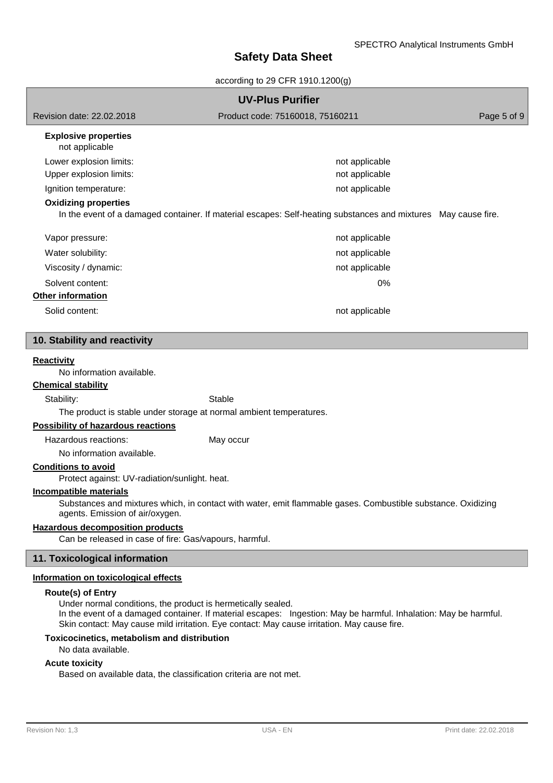according to 29 CFR 1910.1200(g)

| <b>UV-Plus Purifier</b>                                                                                                                         |                                                                                                                |             |  |  |  |
|-------------------------------------------------------------------------------------------------------------------------------------------------|----------------------------------------------------------------------------------------------------------------|-------------|--|--|--|
| Revision date: 22.02.2018                                                                                                                       | Product code: 75160018, 75160211                                                                               | Page 5 of 9 |  |  |  |
| <b>Explosive properties</b><br>not applicable                                                                                                   |                                                                                                                |             |  |  |  |
| Lower explosion limits:                                                                                                                         | not applicable                                                                                                 |             |  |  |  |
| Upper explosion limits:                                                                                                                         | not applicable                                                                                                 |             |  |  |  |
| Ignition temperature:                                                                                                                           | not applicable                                                                                                 |             |  |  |  |
| <b>Oxidizing properties</b>                                                                                                                     | In the event of a damaged container. If material escapes: Self-heating substances and mixtures May cause fire. |             |  |  |  |
| Vapor pressure:                                                                                                                                 | not applicable                                                                                                 |             |  |  |  |
| Water solubility:                                                                                                                               | not applicable                                                                                                 |             |  |  |  |
| Viscosity / dynamic:                                                                                                                            | not applicable                                                                                                 |             |  |  |  |
| Solvent content:                                                                                                                                | 0%                                                                                                             |             |  |  |  |
| Other information                                                                                                                               |                                                                                                                |             |  |  |  |
| Solid content:                                                                                                                                  | not applicable                                                                                                 |             |  |  |  |
|                                                                                                                                                 |                                                                                                                |             |  |  |  |
| 10. Stability and reactivity                                                                                                                    |                                                                                                                |             |  |  |  |
| <b>Reactivity</b>                                                                                                                               |                                                                                                                |             |  |  |  |
| No information available.                                                                                                                       |                                                                                                                |             |  |  |  |
| <b>Chemical stability</b>                                                                                                                       |                                                                                                                |             |  |  |  |
| Stability:                                                                                                                                      | Stable                                                                                                         |             |  |  |  |
| The product is stable under storage at normal ambient temperatures.<br><b>Possibility of hazardous reactions</b>                                |                                                                                                                |             |  |  |  |
| Hazardous reactions:                                                                                                                            |                                                                                                                |             |  |  |  |
| No information available.                                                                                                                       | May occur                                                                                                      |             |  |  |  |
| <b>Conditions to avoid</b>                                                                                                                      |                                                                                                                |             |  |  |  |
| Protect against: UV-radiation/sunlight. heat.                                                                                                   |                                                                                                                |             |  |  |  |
| Incompatible materials                                                                                                                          |                                                                                                                |             |  |  |  |
| Substances and mixtures which, in contact with water, emit flammable gases. Combustible substance. Oxidizing<br>agents. Emission of air/oxygen. |                                                                                                                |             |  |  |  |
| <b>Hazardous decomposition products</b>                                                                                                         |                                                                                                                |             |  |  |  |
| Can be released in case of fire: Gas/vapours, harmful.                                                                                          |                                                                                                                |             |  |  |  |
| 11. Toxicological information                                                                                                                   |                                                                                                                |             |  |  |  |

## **Information on toxicological effects**

## **Route(s) of Entry**

Under normal conditions, the product is hermetically sealed. In the event of a damaged container. If material escapes: Ingestion: May be harmful. Inhalation: May be harmful. Skin contact: May cause mild irritation. Eye contact: May cause irritation. May cause fire.

## **Toxicocinetics, metabolism and distribution**

#### No data available.

## **Acute toxicity**

Based on available data, the classification criteria are not met.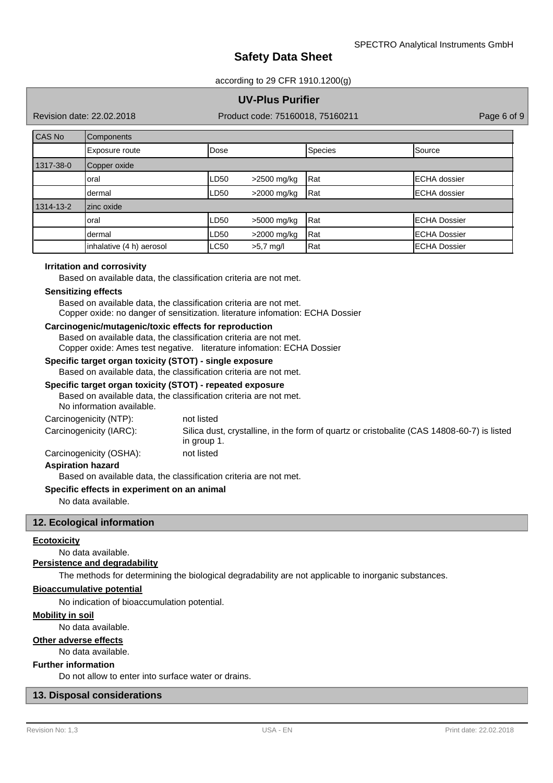#### according to 29 CFR 1910.1200(g)

## **UV-Plus Purifier**

Revision date: 22.02.2018

Product code: 75160018, 75160211 Product code: 75160018, 75160211

| CAS No    | Components               |             |               |         |                      |  |
|-----------|--------------------------|-------------|---------------|---------|----------------------|--|
|           | Exposure route           | Dose        |               | Species | Source               |  |
| 1317-38-0 | Copper oxide             |             |               |         |                      |  |
|           | oral                     | LD50        | >2500 mg/kg   | Rat     | <b>IECHA</b> dossier |  |
|           | dermal                   | LD50        | >2000 mg/kg   | Rat     | <b>ECHA</b> dossier  |  |
| 1314-13-2 | zinc oxide               |             |               |         |                      |  |
|           | oral                     | LD50        | $>5000$ mg/kg | Rat     | <b>ECHA Dossier</b>  |  |
|           | dermal                   | LD50        | $>2000$ mg/kg | Rat     | <b>ECHA Dossier</b>  |  |
|           | inhalative (4 h) aerosol | <b>LC50</b> | $>5.7$ mg/l   | Rat     | <b>ECHA Dossier</b>  |  |

#### **Irritation and corrosivity**

Based on available data, the classification criteria are not met.

#### **Sensitizing effects**

Based on available data, the classification criteria are not met. Copper oxide: no danger of sensitization. literature infomation: ECHA Dossier

#### **Carcinogenic/mutagenic/toxic effects for reproduction**

Based on available data, the classification criteria are not met. Copper oxide: Ames test negative. literature infomation: ECHA Dossier

## **Specific target organ toxicity (STOT) - single exposure**

Based on available data, the classification criteria are not met.

#### **Specific target organ toxicity (STOT) - repeated exposure**

Based on available data, the classification criteria are not met.

No information available.

| Carcinogenicity (NTP):  | not listed                                                                                                |
|-------------------------|-----------------------------------------------------------------------------------------------------------|
| Carcinogenicity (IARC): | Silica dust, crystalline, in the form of quartz or cristobalite (CAS 14808-60-7) is listed<br>in group 1. |
|                         |                                                                                                           |

Carcinogenicity (OSHA): not listed

## **Aspiration hazard**

Based on available data, the classification criteria are not met.

#### **Specific effects in experiment on an animal**

No data available.

#### **12. Ecological information**

#### **Ecotoxicity**

#### No data available.

#### **Persistence and degradability**

The methods for determining the biological degradability are not applicable to inorganic substances.

#### **Bioaccumulative potential**

No indication of bioaccumulation potential.

#### **Mobility in soil**

No data available.

## **Other adverse effects**

No data available.

#### **Further information**

Do not allow to enter into surface water or drains.

#### **13. Disposal considerations**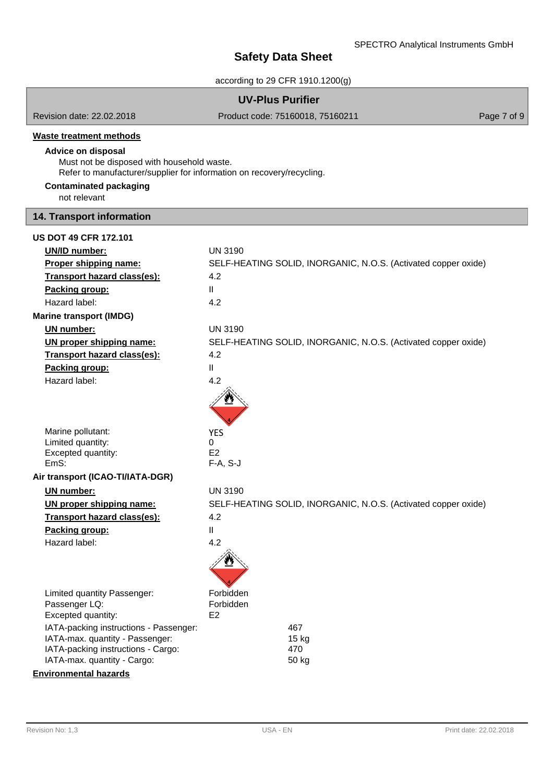|                                                                                                                                                                                    | <b>UV-Plus Purifier</b>      |                                                                |             |
|------------------------------------------------------------------------------------------------------------------------------------------------------------------------------------|------------------------------|----------------------------------------------------------------|-------------|
| Revision date: 22.02.2018                                                                                                                                                          |                              | Product code: 75160018, 75160211                               | Page 7 of 9 |
| <b>Waste treatment methods</b><br><b>Advice on disposal</b><br>Must not be disposed with household waste.<br>Refer to manufacturer/supplier for information on recovery/recycling. |                              |                                                                |             |
| <b>Contaminated packaging</b><br>not relevant                                                                                                                                      |                              |                                                                |             |
| 14. Transport information                                                                                                                                                          |                              |                                                                |             |
| <b>US DOT 49 CFR 172.101</b>                                                                                                                                                       |                              |                                                                |             |
| <b>UN/ID number:</b>                                                                                                                                                               | <b>UN 3190</b>               |                                                                |             |
| Proper shipping name:                                                                                                                                                              |                              | SELF-HEATING SOLID, INORGANIC, N.O.S. (Activated copper oxide) |             |
| <b>Transport hazard class(es):</b>                                                                                                                                                 | 4.2                          |                                                                |             |
| Packing group:                                                                                                                                                                     | $\mathbf{H}$                 |                                                                |             |
| Hazard label:                                                                                                                                                                      | 4.2                          |                                                                |             |
| <b>Marine transport (IMDG)</b>                                                                                                                                                     |                              |                                                                |             |
| <b>UN</b> number:                                                                                                                                                                  | <b>UN 3190</b>               |                                                                |             |
| UN proper shipping name:                                                                                                                                                           |                              | SELF-HEATING SOLID, INORGANIC, N.O.S. (Activated copper oxide) |             |
| Transport hazard class(es):                                                                                                                                                        | 4.2                          |                                                                |             |
| Packing group:                                                                                                                                                                     | $\mathbf{I}$                 |                                                                |             |
| Hazard label:                                                                                                                                                                      | 4.2                          |                                                                |             |
|                                                                                                                                                                                    |                              |                                                                |             |
| Marine pollutant:                                                                                                                                                                  | <b>YES</b>                   |                                                                |             |
| Limited quantity:                                                                                                                                                                  | 0                            |                                                                |             |
| Excepted quantity:<br>EmS:                                                                                                                                                         | E <sub>2</sub><br>$F-A, S-J$ |                                                                |             |
| Air transport (ICAO-TI/IATA-DGR)                                                                                                                                                   |                              |                                                                |             |
| <b>UN</b> number:                                                                                                                                                                  | <b>UN 3190</b>               |                                                                |             |
| <u>UN proper shipping name:</u>                                                                                                                                                    |                              | SELF-HEATING SOLID, INORGANIC, N.O.S. (Activated copper oxide) |             |
| Transport hazard class(es):                                                                                                                                                        | 4.2                          |                                                                |             |
| Packing group:                                                                                                                                                                     | Ш                            |                                                                |             |
| Hazard label:                                                                                                                                                                      | 4.2                          |                                                                |             |
|                                                                                                                                                                                    |                              |                                                                |             |
| Limited quantity Passenger:                                                                                                                                                        | Forbidden                    |                                                                |             |
| Passenger LQ:                                                                                                                                                                      | Forbidden                    |                                                                |             |
| Excepted quantity:                                                                                                                                                                 | E <sub>2</sub>               |                                                                |             |
| IATA-packing instructions - Passenger:<br>IATA-max. quantity - Passenger:                                                                                                          |                              | 467<br>$15$ kg                                                 |             |
| IATA-packing instructions - Cargo:                                                                                                                                                 |                              | 470                                                            |             |
| IATA-max. quantity - Cargo:                                                                                                                                                        |                              | 50 kg                                                          |             |
| <b>Environmental hazards</b>                                                                                                                                                       |                              |                                                                |             |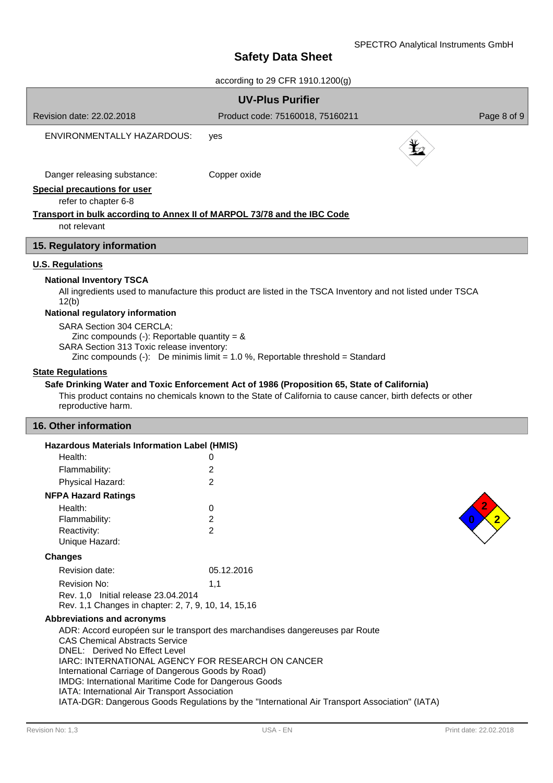| according to 29 CFR 1910.1200(g)                                                                                                                                                                                                                                                                                                                                                                                                                                                                                                                                                                                                                                                                    |                                                                              |             |  |  |  |
|-----------------------------------------------------------------------------------------------------------------------------------------------------------------------------------------------------------------------------------------------------------------------------------------------------------------------------------------------------------------------------------------------------------------------------------------------------------------------------------------------------------------------------------------------------------------------------------------------------------------------------------------------------------------------------------------------------|------------------------------------------------------------------------------|-------------|--|--|--|
| <b>UV-Plus Purifier</b>                                                                                                                                                                                                                                                                                                                                                                                                                                                                                                                                                                                                                                                                             |                                                                              |             |  |  |  |
| Revision date: 22,02,2018                                                                                                                                                                                                                                                                                                                                                                                                                                                                                                                                                                                                                                                                           | Product code: 75160018, 75160211                                             | Page 8 of 9 |  |  |  |
| ENVIRONMENTALLY HAZARDOUS:                                                                                                                                                                                                                                                                                                                                                                                                                                                                                                                                                                                                                                                                          | yes                                                                          |             |  |  |  |
| Danger releasing substance:                                                                                                                                                                                                                                                                                                                                                                                                                                                                                                                                                                                                                                                                         | Copper oxide                                                                 |             |  |  |  |
| <b>Special precautions for user</b><br>refer to chapter 6-8                                                                                                                                                                                                                                                                                                                                                                                                                                                                                                                                                                                                                                         |                                                                              |             |  |  |  |
| <b>Transport in bulk according to Annex II of MARPOL 73/78 and the IBC Code</b><br>not relevant                                                                                                                                                                                                                                                                                                                                                                                                                                                                                                                                                                                                     |                                                                              |             |  |  |  |
| 15. Regulatory information                                                                                                                                                                                                                                                                                                                                                                                                                                                                                                                                                                                                                                                                          |                                                                              |             |  |  |  |
| <b>U.S. Regulations</b><br><b>National Inventory TSCA</b><br>All ingredients used to manufacture this product are listed in the TSCA Inventory and not listed under TSCA<br>12(b)<br>National regulatory information<br>SARA Section 304 CERCLA:<br>Zinc compounds (-): Reportable quantity = $\&$<br>SARA Section 313 Toxic release inventory:<br>Zinc compounds $(-)$ : De minimis limit = 1.0 %, Reportable threshold = Standard<br><b>State Regulations</b><br>Safe Drinking Water and Toxic Enforcement Act of 1986 (Proposition 65, State of California)<br>This product contains no chemicals known to the State of California to cause cancer, birth defects or other<br>reproductive harm. |                                                                              |             |  |  |  |
| 16. Other information                                                                                                                                                                                                                                                                                                                                                                                                                                                                                                                                                                                                                                                                               |                                                                              |             |  |  |  |
| Hazardous Materials Information Label (HMIS)<br>Health:<br>Flammability:<br>Physical Hazard:                                                                                                                                                                                                                                                                                                                                                                                                                                                                                                                                                                                                        | 0<br>2<br>2                                                                  |             |  |  |  |
| <b>NFPA Hazard Ratings</b>                                                                                                                                                                                                                                                                                                                                                                                                                                                                                                                                                                                                                                                                          |                                                                              |             |  |  |  |
| Health:<br>Flammability:<br>Reactivity:<br>Unique Hazard:                                                                                                                                                                                                                                                                                                                                                                                                                                                                                                                                                                                                                                           | 0<br>2<br>$\overline{2}$                                                     |             |  |  |  |
| <b>Changes</b>                                                                                                                                                                                                                                                                                                                                                                                                                                                                                                                                                                                                                                                                                      |                                                                              |             |  |  |  |
| Revision date:                                                                                                                                                                                                                                                                                                                                                                                                                                                                                                                                                                                                                                                                                      | 05.12.2016                                                                   |             |  |  |  |
| Revision No:                                                                                                                                                                                                                                                                                                                                                                                                                                                                                                                                                                                                                                                                                        | 1,1                                                                          |             |  |  |  |
| Rev. 1,0 Initial release 23.04.2014<br>Rev. 1,1 Changes in chapter: 2, 7, 9, 10, 14, 15, 16                                                                                                                                                                                                                                                                                                                                                                                                                                                                                                                                                                                                         |                                                                              |             |  |  |  |
| <b>Abbreviations and acronyms</b><br><b>CAS Chemical Abstracts Service</b><br>DNEL: Derived No Effect Level<br>IARC: INTERNATIONAL AGENCY FOR RESEARCH ON CANCER<br>International Carriage of Dangerous Goods by Road)<br>IMDG: International Maritime Code for Dangerous Goods                                                                                                                                                                                                                                                                                                                                                                                                                     | ADR: Accord européen sur le transport des marchandises dangereuses par Route |             |  |  |  |

IATA: International Air Transport Association

IATA-DGR: Dangerous Goods Regulations by the "International Air Transport Association" (IATA)

ĺ